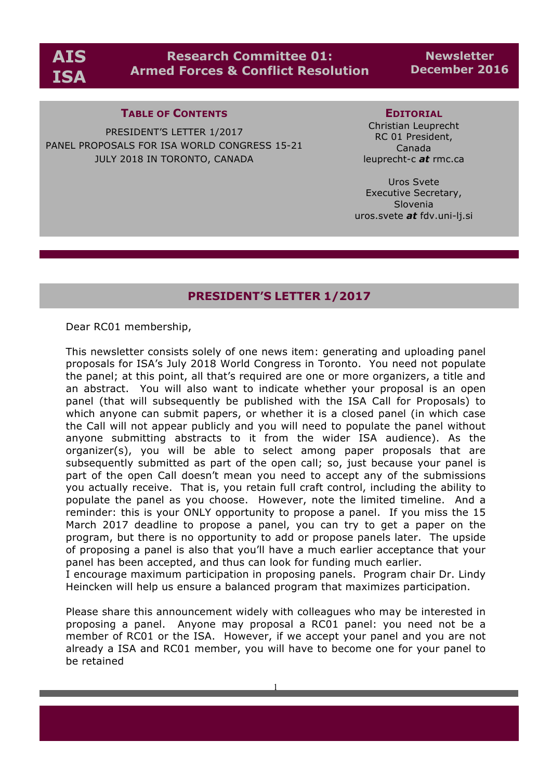

# **Research Committee 01: Armed Forces & Conflict Resolution**

**Newsletter December 2016**

### **TABLE OF CONTENTS**

PRESIDENT'S LETTER 1/2017 PANEL PROPOSALS FOR ISA WORLD CONGRESS 15-21 JULY 2018 IN TORONTO, CANADA

#### **EDITORIAL**

Christian Leuprecht RC 01 President, Canada leuprecht-c *at* rmc.ca

Uros Svete Executive Secretary, Slovenia uros.svete *at* fdv.uni-lj.si

### **PRESIDENT'S LETTER 1/2017**

Dear RC01 membership,

This newsletter consists solely of one news item: generating and uploading panel proposals for ISA's July 2018 World Congress in Toronto. You need not populate the panel; at this point, all that's required are one or more organizers, a title and an abstract. You will also want to indicate whether your proposal is an open panel (that will subsequently be published with the ISA Call for Proposals) to which anyone can submit papers, or whether it is a closed panel (in which case the Call will not appear publicly and you will need to populate the panel without anyone submitting abstracts to it from the wider ISA audience). As the organizer(s), you will be able to select among paper proposals that are subsequently submitted as part of the open call; so, just because your panel is part of the open Call doesn't mean you need to accept any of the submissions you actually receive. That is, you retain full craft control, including the ability to populate the panel as you choose. However, note the limited timeline. And a reminder: this is your ONLY opportunity to propose a panel. If you miss the 15 March 2017 deadline to propose a panel, you can try to get a paper on the program, but there is no opportunity to add or propose panels later. The upside of proposing a panel is also that you'll have a much earlier acceptance that your panel has been accepted, and thus can look for funding much earlier.

I encourage maximum participation in proposing panels. Program chair Dr. Lindy Heincken will help us ensure a balanced program that maximizes participation.

Please share this announcement widely with colleagues who may be interested in proposing a panel. Anyone may proposal a RC01 panel: you need not be a member of RC01 or the ISA. However, if we accept your panel and you are not already a ISA and RC01 member, you will have to become one for your panel to be retained

1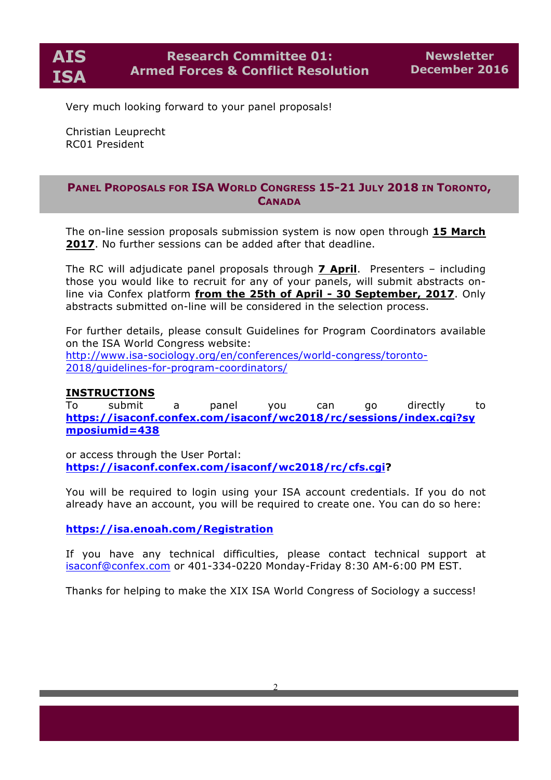Very much looking forward to your panel proposals!

Christian Leuprecht RC01 President

## **PANEL PROPOSALS FOR ISA WORLD CONGRESS 15-21 JULY 2018 IN TORONTO, CANADA**

The on-line session proposals submission system is now open through **15 March 2017**. No further sessions can be added after that deadline.

The RC will adjudicate panel proposals through **7 April**. Presenters – including those you would like to recruit for any of your panels, will submit abstracts online via Confex platform **from the 25th of April - 30 September, 2017**. Only abstracts submitted on-line will be considered in the selection process.

For further details, please consult Guidelines for Program Coordinators available on the ISA World Congress website: http://www.isa-sociology.org/en/conferences/world-congress/toronto-2018/guidelines-for-program-coordinators/

## **INSTRUCTIONS**

To submit a panel you can go directly to **https://isaconf.confex.com/isaconf/wc2018/rc/sessions/index.cgi?sy mposiumid=438**

or access through the User Portal: **https://isaconf.confex.com/isaconf/wc2018/rc/cfs.cgi?**

You will be required to login using your ISA account credentials. If you do not already have an account, you will be required to create one. You can do so here:

**https://isa.enoah.com/Registration**

If you have any technical difficulties, please contact technical support at isaconf@confex.com or 401-334-0220 Monday-Friday 8:30 AM-6:00 PM EST.

Thanks for helping to make the XIX ISA World Congress of Sociology a success!

2